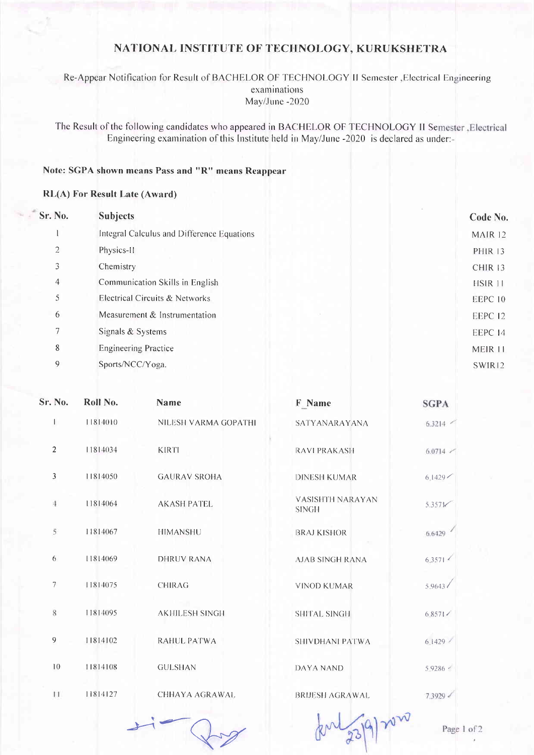### NATIONAL INSTITUTE OF TECHNOLOGY, KURUKSHETRA

#### Re-Appear Notification for Result of BACHELOR OF TECHNOLOGY II Semester , Electrical Engineering examinations May/June-2020

The Result of the following candidates who appeared in BACHELOR OF TECHNOLOGY II Semester , Electrical Engineering examination of this Institute held in May/June -2020 is declared as under:-

## Note: SGPA shown means Pass and "R" means Reappear

#### **RL(A)** For Result Late (Award)

 $\epsilon$ 

| Sr. No.        | <b>Subjects</b>                            | Code No.           |
|----------------|--------------------------------------------|--------------------|
|                | Integral Calculus and Difference Equations | MAIR 12            |
| $\overline{2}$ | Physics-II                                 | <b>PHIR 13</b>     |
| 3              | Chemistry                                  | CHIR <sub>13</sub> |
| 4              | Communication Skills in English            | HSIR 11            |
| 5              | Electrical Circuits & Networks             | EEPC 10            |
| 6              | Measurement & Instrumentation              | EEPC 12            |
| 7              | Signals & Systems                          | EEPC 14            |
| 8              | <b>Engineering Practice</b>                | MEIR 11            |
| 9              | Sports/NCC/Yoga.                           | SWIR <sub>12</sub> |
|                |                                            |                    |

| $\sin N$ 0.     | Roll No. | Name                  | F Name                                  | <b>SGPA</b>     |
|-----------------|----------|-----------------------|-----------------------------------------|-----------------|
|                 | 11814010 | NILESH VARMA GOPATHI  | <b>SATYANARAYANA</b>                    | $6.3214$ $-$    |
| $\overline{2}$  | 11814034 | <b>KIRTI</b>          | <b>RAVI PRAKASH</b>                     | $6.0714$ $\leq$ |
| $\mathfrak{Z}$  | 11814050 | <b>GAURAV SROHA</b>   | <b>DINESH KUMAR</b>                     | 6.1429          |
| 4               | 11814064 | <b>AKASH PATEL</b>    | <b>VASISHTH NARAYAN</b><br><b>SINGH</b> | 5.3571          |
| $\bar{\rm 5}$   | 11814067 | <b>HIMANSHU</b>       | <b>BRAJ KISHOR</b>                      | 6.6429          |
| 6               | 11814069 | <b>DHRUV RANA</b>     | <b>AJAB SINGH RANA</b>                  | 6.3571          |
| $7\phantom{.0}$ | 11814075 | <b>CHIRAG</b>         | <b>VINOD KUMAR</b>                      | 5.9643/         |
| 8               | 11814095 | <b>AKHILESH SINGH</b> | <b>SHITAL SINGH</b>                     | 6.8571          |
| $\overline{9}$  | 11814102 | <b>RAHUL PATWA</b>    | SHIVDHANI PATWA                         | 6.1429          |
| 10              | 11814108 | <b>GULSHAN</b>        | <b>DAYA NAND</b>                        | 5.9286          |
| 11              | 11814127 | CHHAYA AGRAWAL        | <b>BRUESH AGRAWAL</b>                   | 7.3929          |

Page 1 of 2